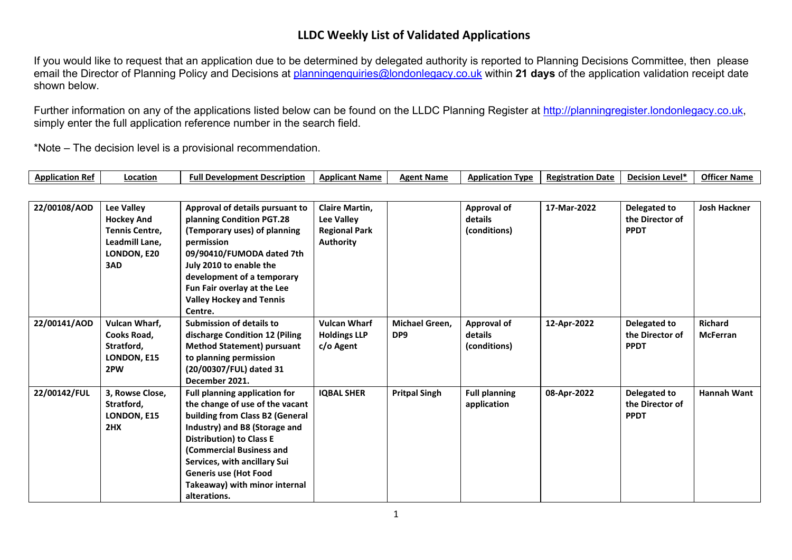## **LLDC Weekly List of Validated Applications**

If you would like to request that an application due to be determined by delegated authority is reported to Planning Decisions Committee, then please email the Director of Planning Policy and Decisions at [planningenquiries@londonlegacy.co.uk](mailto:planningenquiries@londonlegacy.co.uk) within **21 days** of the application validation receipt date shown below.

Further information on any of the applications listed below can be found on the LLDC Planning Register at [http://planningregister.londonlegacy.co.uk,](http://planningregister.londonlegacy.co.uk/) simply enter the full application reference number in the search field.

**Application Ref Location Full Development Description Applicant Name Agent Name Application Type Registration Date Decision Level\* Officer Name**

\*Note – The decision level is a provisional recommendation.

| <b>Application Rel</b> | rocation                                                                                         | rull Development Description                                                                                                                                                                                                                                                                                                | <b>Applicant Name</b>                                                           | <b>Agent Name</b>                 | <b>Application Type</b>                       | Registration Date | <b>Decision Level</b>                                 | <b>Officer Name</b>               |
|------------------------|--------------------------------------------------------------------------------------------------|-----------------------------------------------------------------------------------------------------------------------------------------------------------------------------------------------------------------------------------------------------------------------------------------------------------------------------|---------------------------------------------------------------------------------|-----------------------------------|-----------------------------------------------|-------------------|-------------------------------------------------------|-----------------------------------|
|                        |                                                                                                  |                                                                                                                                                                                                                                                                                                                             |                                                                                 |                                   |                                               |                   |                                                       |                                   |
| 22/00108/AOD           | Lee Valley<br><b>Hockey And</b><br><b>Tennis Centre,</b><br>Leadmill Lane,<br>LONDON, E20<br>3AD | Approval of details pursuant to<br>planning Condition PGT.28<br>(Temporary uses) of planning<br>permission<br>09/90410/FUMODA dated 7th<br>July 2010 to enable the<br>development of a temporary<br>Fun Fair overlay at the Lee<br><b>Valley Hockey and Tennis</b><br>Centre.                                               | <b>Claire Martin,</b><br><b>Lee Valley</b><br><b>Regional Park</b><br>Authority |                                   | <b>Approval of</b><br>details<br>(conditions) | 17-Mar-2022       | <b>Delegated to</b><br>the Director of<br><b>PPDT</b> | <b>Josh Hackner</b>               |
| 22/00141/AOD           | Vulcan Wharf,<br>Cooks Road,<br>Stratford,<br>LONDON, E15<br>2PW                                 | <b>Submission of details to</b><br>discharge Condition 12 (Piling<br><b>Method Statement) pursuant</b><br>to planning permission<br>(20/00307/FUL) dated 31<br>December 2021.                                                                                                                                               | <b>Vulcan Wharf</b><br><b>Holdings LLP</b><br>c/o Agent                         | Michael Green,<br>DP <sub>9</sub> | <b>Approval of</b><br>details<br>(conditions) | 12-Apr-2022       | Delegated to<br>the Director of<br><b>PPDT</b>        | <b>Richard</b><br><b>McFerran</b> |
| 22/00142/FUL           | 3, Rowse Close,<br>Stratford,<br>LONDON, E15<br>2HX                                              | <b>Full planning application for</b><br>the change of use of the vacant<br>building from Class B2 (General<br>Industry) and B8 (Storage and<br><b>Distribution) to Class E</b><br>(Commercial Business and<br>Services, with ancillary Sui<br><b>Generis use (Hot Food</b><br>Takeaway) with minor internal<br>alterations. | <b>IQBAL SHER</b>                                                               | <b>Pritpal Singh</b>              | <b>Full planning</b><br>application           | 08-Apr-2022       | Delegated to<br>the Director of<br><b>PPDT</b>        | <b>Hannah Want</b>                |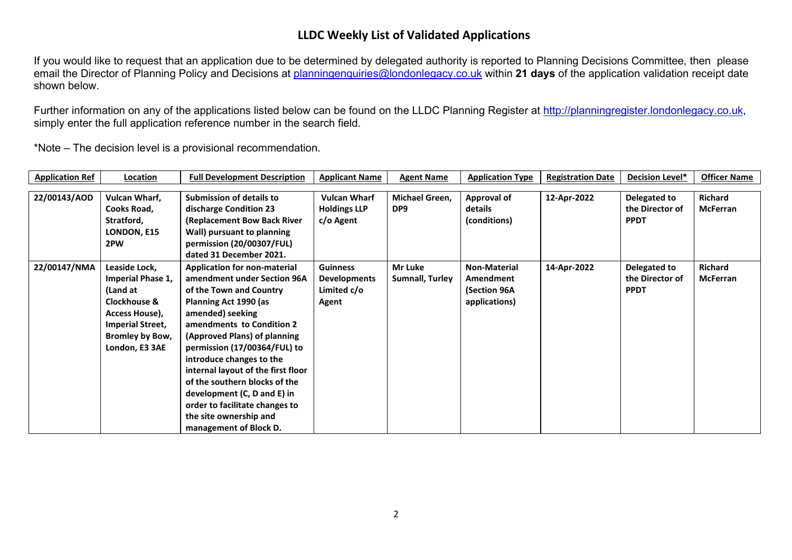## **LLDC Weekly List of Validated Applications**

If you would like to request that an application due to be determined by delegated authority is reported to Planning Decisions Committee, then please email the Director of Planning Policy and Decisions at [planningenquiries@londonlegacy.co.uk](mailto:planningenquiries@londonlegacy.co.uk) within **21 days** of the application validation receipt date shown below.

Further information on any of the applications listed below can be found on the LLDC Planning Register at [http://planningregister.londonlegacy.co.uk,](http://planningregister.londonlegacy.co.uk/) simply enter the full application reference number in the search field.

\*Note – The decision level is a provisional recommendation.

| <b>Application Ref</b> | Location                 | <b>Full Development Description</b> | <b>Applicant Name</b> | <b>Agent Name</b>      | <b>Application Type</b> | <b>Registration Date</b> | <b>Decision Level*</b> | <b>Officer Name</b> |
|------------------------|--------------------------|-------------------------------------|-----------------------|------------------------|-------------------------|--------------------------|------------------------|---------------------|
|                        |                          |                                     |                       |                        |                         |                          |                        |                     |
| 22/00143/AOD           | Vulcan Wharf,            | <b>Submission of details to</b>     | <b>Vulcan Wharf</b>   | Michael Green,         | <b>Approval of</b>      | 12-Apr-2022              | Delegated to           | <b>Richard</b>      |
|                        | Cooks Road,              | discharge Condition 23              | <b>Holdings LLP</b>   | DP <sub>9</sub>        | details                 |                          | the Director of        | <b>McFerran</b>     |
|                        | Stratford,               | (Replacement Bow Back River         | c/o Agent             |                        | (conditions)            |                          | <b>PPDT</b>            |                     |
|                        | LONDON, E15              | Wall) pursuant to planning          |                       |                        |                         |                          |                        |                     |
|                        | 2PW                      | permission (20/00307/FUL)           |                       |                        |                         |                          |                        |                     |
|                        |                          | dated 31 December 2021.             |                       |                        |                         |                          |                        |                     |
| 22/00147/NMA           | Leaside Lock,            | <b>Application for non-material</b> | <b>Guinness</b>       | Mr Luke                | Non-Material            | 14-Apr-2022              | Delegated to           | <b>Richard</b>      |
|                        | <b>Imperial Phase 1,</b> | amendment under Section 96A         | <b>Developments</b>   | <b>Sumnall, Turley</b> | Amendment               |                          | the Director of        | <b>McFerran</b>     |
|                        | (Land at                 | of the Town and Country             | Limited c/o           |                        | (Section 96A            |                          | <b>PPDT</b>            |                     |
|                        | Clockhouse &             | Planning Act 1990 (as               | Agent                 |                        | applications)           |                          |                        |                     |
|                        | Access House),           | amended) seeking                    |                       |                        |                         |                          |                        |                     |
|                        | <b>Imperial Street,</b>  | amendments to Condition 2           |                       |                        |                         |                          |                        |                     |
|                        | <b>Bromley by Bow,</b>   | (Approved Plans) of planning        |                       |                        |                         |                          |                        |                     |
|                        | London, E3 3AE           | permission (17/00364/FUL) to        |                       |                        |                         |                          |                        |                     |
|                        |                          | introduce changes to the            |                       |                        |                         |                          |                        |                     |
|                        |                          | internal layout of the first floor  |                       |                        |                         |                          |                        |                     |
|                        |                          | of the southern blocks of the       |                       |                        |                         |                          |                        |                     |
|                        |                          | development (C, D and E) in         |                       |                        |                         |                          |                        |                     |
|                        |                          | order to facilitate changes to      |                       |                        |                         |                          |                        |                     |
|                        |                          | the site ownership and              |                       |                        |                         |                          |                        |                     |
|                        |                          | management of Block D.              |                       |                        |                         |                          |                        |                     |